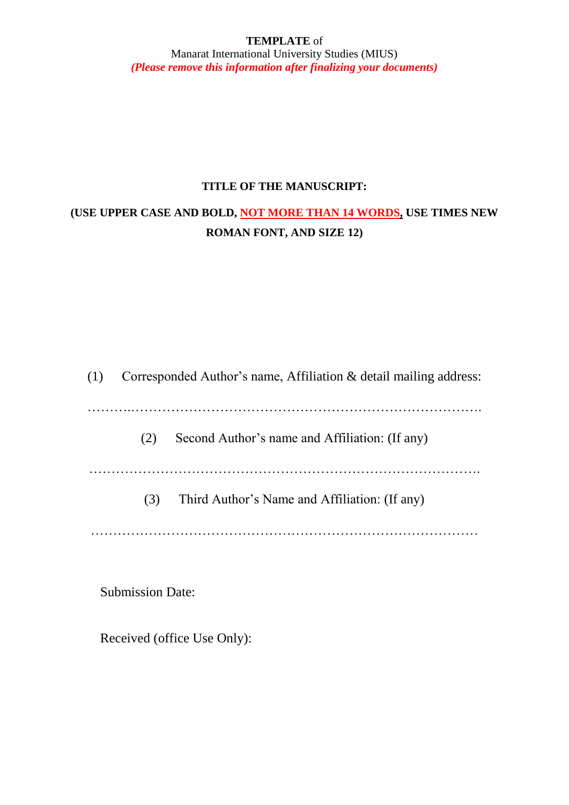### **TEMPLATE** of Manarat International University Studies (MIUS) *(Please remove this information after finalizing your documents)*

### **TITLE OF THE MANUSCRIPT:**

# **(USE UPPER CASE AND BOLD, NOT MORE THAN 14 WORDS, USE TIMES NEW ROMAN FONT, AND SIZE 12)**

| (1) |     | Corresponded Author's name, Affiliation & detail mailing address: |
|-----|-----|-------------------------------------------------------------------|
|     | (2) | Second Author's name and Affiliation: (If any)                    |
|     | (3) | Third Author's Name and Affiliation: (If any)                     |

Submission Date:

Received (office Use Only):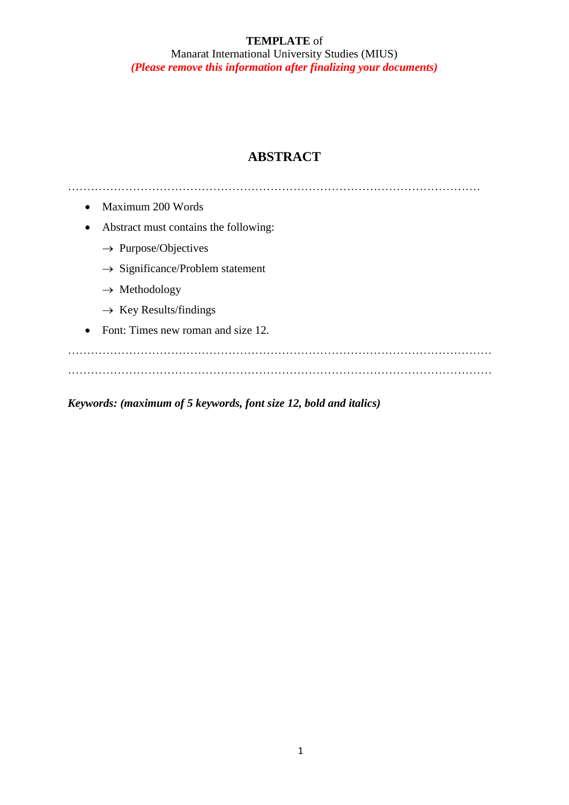Manarat International University Studies (MIUS) *(Please remove this information after finalizing your documents)*

# **ABSTRACT**

……………………………………………………………………………………………… • Maximum 200 Words Abstract must contains the following:  $\rightarrow$  Purpose/Objectives  $\rightarrow$  Significance/Problem statement  $\rightarrow$  Methodology  $\rightarrow$  Key Results/findings • Font: Times new roman and size 12. ………………………………………………………………………………………………… …………………………………………………………………………………………………

*Keywords: (maximum of 5 keywords, font size 12, bold and italics)*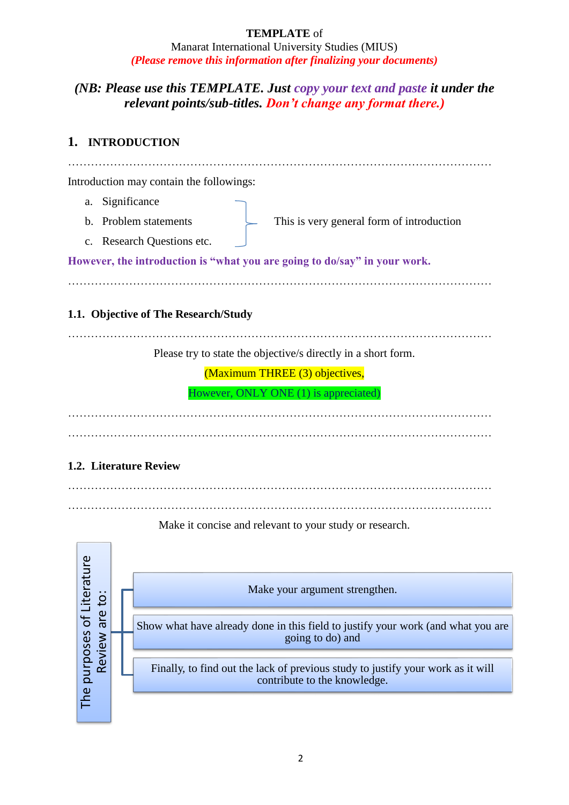Manarat International University Studies (MIUS) *(Please remove this information after finalizing your documents)*

## *(NB: Please use this TEMPLATE. Just copy your text and paste it under the relevant points/sub-titles. Don't change any format there.)*

## **1. INTRODUCTION**

| Introduction may contain the followings:                                                                                                  |
|-------------------------------------------------------------------------------------------------------------------------------------------|
| Significance<br>a.                                                                                                                        |
| b. Problem statements<br>This is very general form of introduction                                                                        |
| c. Research Questions etc.                                                                                                                |
| However, the introduction is "what you are going to do/say" in your work.                                                                 |
|                                                                                                                                           |
| 1.1. Objective of The Research/Study                                                                                                      |
| Please try to state the objective/s directly in a short form.                                                                             |
| (Maximum THREE (3) objectives,                                                                                                            |
| However, ONLY ONE (1) is appreciated)                                                                                                     |
|                                                                                                                                           |
|                                                                                                                                           |
| 1.2. Literature Review                                                                                                                    |
|                                                                                                                                           |
| Make it concise and relevant to your study or research.                                                                                   |
|                                                                                                                                           |
| Make your argument strengthen.                                                                                                            |
|                                                                                                                                           |
| Review are to:<br>Show what have already done in this field to justify your work (and what you are<br>going to do) and                    |
| The purposes of Litera<br>Finally, to find out the lack of previous study to justify your work as it will<br>contribute to the knowledge. |
|                                                                                                                                           |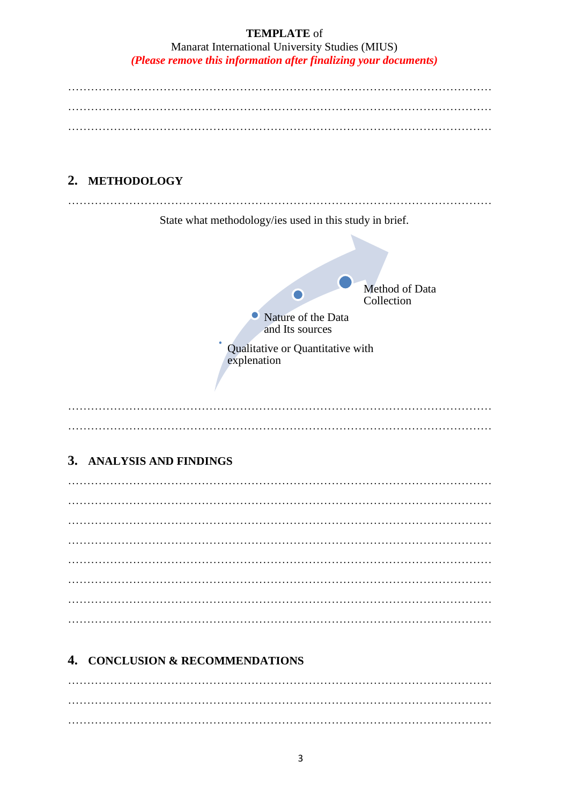Manarat International University Studies (MIUS) *(Please remove this information after finalizing your documents)* ………………………………………………………………………………………………… ………………………………………………………………………………………………… ………………………………………………………………………………………………… ………………………………………………………………………………………………… State what methodology/ies used in this study in brief.

# **2. METHODOLOGY**



## **3. ANALYSIS AND FINDINGS**

# **4. CONCLUSION & RECOMMENDATIONS**

………………………………………………………………………………………………… …………………………………………………………………………………………………